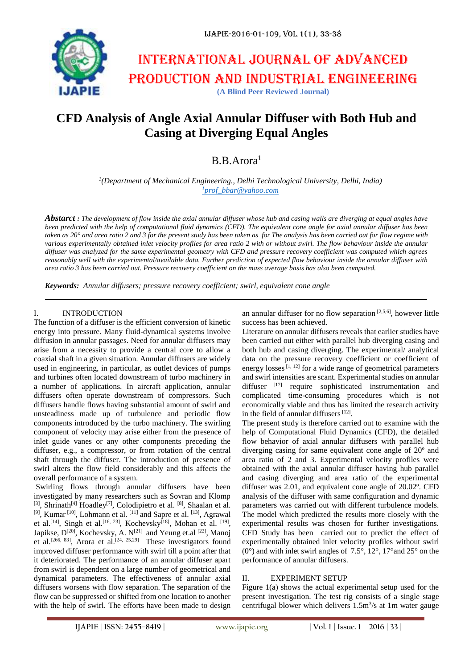

# **CFD Analysis of Angle Axial Annular Diffuser with Both Hub and Casing at Diverging Equal Angles**

## B.B.Arora<sup>1</sup>

*1 (Department of Mechanical Engineering., Delhi Technological University, Delhi, India) 1[prof\\_bbar@yahoo.com](mailto:1prof_bbar@yahoo.com)*

*Abstarct : The development of flow inside the axial annular diffuser whose hub and casing walls are diverging at equal angles have been predicted with the help of computational fluid dynamics (CFD). The equivalent cone angle for axial annular diffuser has been taken as 20° and area ratio 2 and 3 for the present study has been taken as for The analysis has been carried out for flow regime with various experimentally obtained inlet velocity profiles for area ratio 2 with or without swirl. The flow behaviour inside the annular diffuser was analyzed for the same experimental geometry with CFD and pressure recovery coefficient was computed which agrees reasonably well with the experimental/available data. Further prediction of expected flow behaviour inside the annular diffuser with area ratio 3 has been carried out. Pressure recovery coefficient on the mass average basis has also been computed.*

*Keywords: Annular diffusers; pressure recovery coefficient; swirl, equivalent cone angle*

## I. INTRODUCTION

The function of a diffuser is the efficient conversion of kinetic energy into pressure. Many fluid-dynamical systems involve diffusion in annular passages. Need for annular diffusers may arise from a necessity to provide a central core to allow a coaxial shaft in a given situation. Annular diffusers are widely used in engineering, in particular, as outlet devices of pumps and turbines often located downstream of turbo machinery in a number of applications. In aircraft application, annular diffusers often operate downstream of compressors. Such diffusers handle flows having substantial amount of swirl and unsteadiness made up of turbulence and periodic flow components introduced by the turbo machinery. The swirling component of velocity may arise either from the presence of inlet guide vanes or any other components preceding the diffuser, e.g., a compressor, or from rotation of the central shaft through the diffuser. The introduction of presence of swirl alters the flow field considerably and this affects the overall performance of a system.

Swirling flows through annular diffusers have been investigated by many researchers such as Sovran and Klomp [3], Shrinath<sup>[4]</sup> Hoadley<sup>[7]</sup>, Colodipietro et al. <sup>[8]</sup>, Shaalan et al.  $[9]$ , Kumar<sup>[10]</sup>, Lohmann et al. <sup>[11]</sup> and Sapre et al. <sup>[13]</sup>, Agrawal et al.<sup>[14]</sup>, Singh et al.<sup>[16, 23]</sup>, Kochevsky<sup>[18]</sup>, Mohan et al.<sup>[19]</sup>, Japikse, D<sup>[20]</sup>, Kochevsky, A. N<sup>[21]</sup> and Yeung et.al <sup>[22]</sup>, Manoj et al.<sup>[266, 83]</sup>, Arora et al.<sup>[24, 25,29]</sup> These investigators found improved diffuser performance with swirl till a point after that it deteriorated. The performance of an annular diffuser apart from swirl is dependent on a large number of geometrical and dynamical parameters. The effectiveness of annular axial diffusers worsens with flow separation. The separation of the flow can be suppressed or shifted from one location to another with the help of swirl. The efforts have been made to design

an annular diffuser for no flow separation  $[2,5,6]$ , however little success has been achieved.

Literature on annular diffusers reveals that earlier studies have been carried out either with parallel hub diverging casing and both hub and casing diverging. The experimental/ analytical data on the pressure recovery coefficient or coefficient of energy losses<sup>[1, 12]</sup> for a wide range of geometrical parameters and swirl intensities are scant. Experimental studies on annular diffuser [17] require sophisticated instrumentation and complicated time-consuming procedures which is not economically viable and thus has limited the research activity in the field of annular diffusers  $[12]$ .

The present study is therefore carried out to examine with the help of Computational Fluid Dynamics (CFD), the detailed flow behavior of axial annular diffusers with parallel hub diverging casing for same equivalent cone angle of 20º and area ratio of 2 and 3. Experimental velocity profiles were obtained with the axial annular diffuser having hub parallel and casing diverging and area ratio of the experimental diffuser was 2.01, and equivalent cone angle of 20.02º. CFD analysis of the diffuser with same configuration and dynamic parameters was carried out with different turbulence models. The model which predicted the results more closely with the experimental results was chosen for further investigations. CFD Study has been carried out to predict the effect of experimentally obtained inlet velocity profiles without swirl  $(0^{\circ})$  and with inlet swirl angles of 7.5°, 12°, 17° and 25° on the performance of annular diffusers.

## II. EXPERIMENT SETUP

Figure 1(a) shows the actual experimental setup used for the present investigation. The test rig consists of a single stage centrifugal blower which delivers  $1.5 \text{m}^3/\text{s}$  at 1m water gauge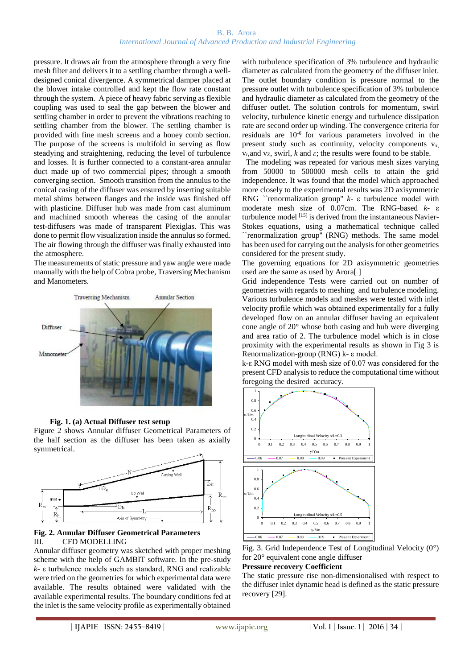## B. B. Arora *International Journal of Advanced Production and Industrial Engineering*

pressure. It draws air from the atmosphere through a very fine mesh filter and delivers it to a settling chamber through a welldesigned conical divergence. A symmetrical damper placed at the blower intake controlled and kept the flow rate constant through the system. A piece of heavy fabric serving as flexible coupling was used to seal the gap between the blower and settling chamber in order to prevent the vibrations reaching to settling chamber from the blower. The settling chamber is provided with fine mesh screens and a honey comb section. The purpose of the screens is multifold in serving as flow steadying and straightening, reducing the level of turbulence and losses. It is further connected to a constant-area annular duct made up of two commercial pipes; through a smooth converging section. Smooth transition from the annulus to the conical casing of the diffuser was ensured by inserting suitable metal shims between flanges and the inside was finished off with plasticine. Diffuser hub was made from cast aluminum and machined smooth whereas the casing of the annular test-diffusers was made of transparent Plexiglas. This was done to permit flow visualization inside the annulus so formed. The air flowing through the diffuser was finally exhausted into the atmosphere.

The measurements of static pressure and yaw angle were made manually with the help of Cobra probe, Traversing Mechanism and Manometers.





Figure 2 shows Annular diffuser Geometrical Parameters of the half section as the diffuser has been taken as axially symmetrical.



## **Fig. 2. Annular Diffuser Geometrical Parameters** III. CFD MODELLING

Annular diffuser geometry was sketched with proper meshing scheme with the help of GAMBIT software. In the pre-study *k-* ε turbulence models such as standard, RNG and realizable were tried on the geometries for which experimental data were available. The results obtained were validated with the available experimental results. The boundary conditions fed at the inlet is the same velocity profile as experimentally obtained

with turbulence specification of 3% turbulence and hydraulic diameter as calculated from the geometry of the diffuser inlet. The outlet boundary condition is pressure normal to the pressure outlet with turbulence specification of 3% turbulence and hydraulic diameter as calculated from the geometry of the diffuser outlet. The solution controls for momentum, swirl velocity, turbulence kinetic energy and turbulence dissipation rate are second order up winding. The convergence criteria for residuals are  $10^{-6}$  for various parameters involved in the present study such as continuity, velocity components  $v_x$ ,  $v_r$ , and  $v_z$ , swirl, *k* and *ε*; the results were found to be stable.

 The modeling was repeated for various mesh sizes varying from 50000 to 500000 mesh cells to attain the grid independence. It was found that the model which approached more closely to the experimental results was 2D axisymmetric RNG ``renormalization group'' *k-* ε turbulence model with moderate mesh size of 0.07cm. The RNG-based *k-* ε turbulence model [15] is derived from the instantaneous Navier-Stokes equations, using a mathematical technique called ``renormalization group'' (RNG) methods. The same model has been used for carrying out the analysis for other geometries considered for the present study.

The governing equations for 2D axisymmetric geometries used are the same as used by Arora[ ]

Grid independence Tests were carried out on number of geometries with regards to meshing and turbulence modeling. Various turbulence models and meshes were tested with inlet velocity profile which was obtained experimentally for a fully developed flow on an annular diffuser having an equivalent cone angle of 20° whose both casing and hub were diverging and area ratio of 2. The turbulence model which is in close proximity with the experimental results as shown in Fig 3 is Renormalization-group (RNG) k- ε model.

k-ε RNG model with mesh size of 0.07 was considered for the present CFD analysis to reduce the computational time without foregoing the desired accuracy.





## **Pressure recovery Coefficient**

The static pressure rise non-dimensionalised with respect to the diffuser inlet dynamic head is defined as the static pressure recovery [29].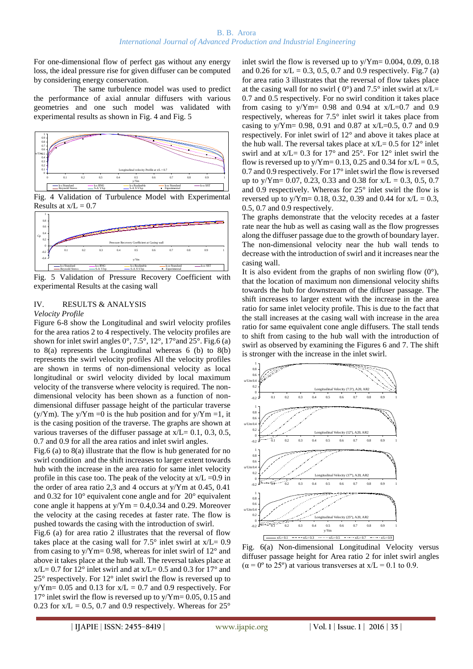For one-dimensional flow of perfect gas without any energy loss, the ideal pressure rise for given diffuser can be computed by considering energy conservation.

 The same turbulence model was used to predict the performance of axial annular diffusers with various geometries and one such model was validated with experimental results as shown in Fig. 4 and Fig. 5



Fig. 4 Validation of Turbulence Model with Experimental Results at  $x/L = 0.7$ 



Fig. 5 Validation of Pressure Recovery Coefficient with experimental Results at the casing wall

#### IV. RESULTS & ANALYSIS *Velocity Profile*

Figure 6-8 show the Longitudinal and swirl velocity profiles for the area ratios 2 to 4 respectively. The velocity profiles are shown for inlet swirl angles  $0^\circ$ ,  $7.5^\circ$ ,  $12^\circ$ ,  $17^\circ$  and  $25^\circ$ . Fig. 6 (a) to  $8(a)$  represents the Longitudinal whereas 6 (b) to  $8(b)$ represents the swirl velocity profiles All the velocity profiles are shown in terms of non-dimensional velocity as local longitudinal or swirl velocity divided by local maximum velocity of the transverse where velocity is required. The nondimensional velocity has been shown as a function of nondimensional diffuser passage height of the particular traverse  $(y/Ym)$ . The y/Ym =0 is the hub position and for y/Ym =1, it is the casing position of the traverse. The graphs are shown at various traverses of the diffuser passage at  $x/L = 0.1, 0.3, 0.5$ , 0.7 and 0.9 for all the area ratios and inlet swirl angles.

Fig.6 (a) to 8(a) illustrate that the flow is hub generated for no swirl condition and the shift increases to larger extent towards hub with the increase in the area ratio for same inlet velocity profile in this case too. The peak of the velocity at  $x/L = 0.9$  in the order of area ratio 2,3 and 4 occurs at y/Ym at 0.45, 0.41 and 0.32 for 10° equivalent cone angle and for 20° equivalent cone angle it happens at  $y/Ym = 0.4, 0.34$  and 0.29. Moreover the velocity at the casing recedes at faster rate. The flow is pushed towards the casing with the introduction of swirl.

Fig.6 (a) for area ratio 2 illustrates that the reversal of flow takes place at the casing wall for  $7.5^{\circ}$  inlet swirl at  $x/L = 0.9$ from casing to y/Ym= 0.98, whereas for inlet swirl of 12° and above it takes place at the hub wall. The reversal takes place at  $x/L = 0.7$  for 12° inlet swirl and at  $x/L = 0.5$  and 0.3 for 17° and 25° respectively. For 12° inlet swirl the flow is reversed up to  $y/Ym= 0.05$  and 0.13 for  $x/L = 0.7$  and 0.9 respectively. For  $17^{\circ}$  inlet swirl the flow is reversed up to y/Ym= 0.05, 0.15 and 0.23 for  $x/L = 0.5$ , 0.7 and 0.9 respectively. Whereas for  $25^{\circ}$ 

inlet swirl the flow is reversed up to  $y/Ym= 0.004, 0.09, 0.18$ and 0.26 for  $x/L = 0.3, 0.5, 0.7$  and 0.9 respectively. Fig.7 (a) for area ratio 3 illustrates that the reversal of flow takes place at the casing wall for no swirl ( $0^{\circ}$ ) and 7.5° inlet swirl at x/L= 0.7 and 0.5 respectively. For no swirl condition it takes place from casing to  $y/Ym= 0.98$  and 0.94 at  $x/L=0.7$  and 0.9 respectively, whereas for 7.5° inlet swirl it takes place from casing to y/Ym= 0.98, 0.91 and 0.87 at x/L=0.5, 0.7 and 0.9 respectively. For inlet swirl of 12° and above it takes place at the hub wall. The reversal takes place at  $x/L = 0.5$  for  $12^{\circ}$  inlet swirl and at  $x/L = 0.3$  for  $17^{\circ}$  and  $25^{\circ}$ . For  $12^{\circ}$  inlet swirl the flow is reversed up to  $\sqrt{Y}$ m= 0.13, 0.25 and 0.34 for x/L = 0.5, 0.7 and 0.9 respectively. For 17° inlet swirl the flow is reversed up to y/Ym= 0.07, 0.23, 0.33 and 0.38 for  $x/L = 0.3$ , 0.5, 0.7 and 0.9 respectively. Whereas for 25° inlet swirl the flow is reversed up to y/Ym= 0.18, 0.32, 0.39 and 0.44 for  $x/L = 0.3$ , 0.5, 0.7 and 0.9 respectively.

The graphs demonstrate that the velocity recedes at a faster rate near the hub as well as casing wall as the flow progresses along the diffuser passage due to the growth of boundary layer. The non-dimensional velocity near the hub wall tends to decrease with the introduction of swirl and it increases near the casing wall.

It is also evident from the graphs of non swirling flow  $(0^{\circ})$ , that the location of maximum non dimensional velocity shifts towards the hub for downstream of the diffuser passage. The shift increases to larger extent with the increase in the area ratio for same inlet velocity profile. This is due to the fact that the stall increases at the casing wall with increase in the area ratio for same equivalent cone angle diffusers. The stall tends to shift from casing to the hub wall with the introduction of swirl as observed by examining the Figures 6 and 7. The shift is stronger with the increase in the inlet swirl.



Fig. 6(a) Non-dimensional Longitudinal Velocity versus diffuser passage height for Area ratio 2 for inlet swirl angles  $(\alpha = 0^{\circ} \text{ to } 25^{\circ})$  at various transverses at x/L = 0.1 to 0.9.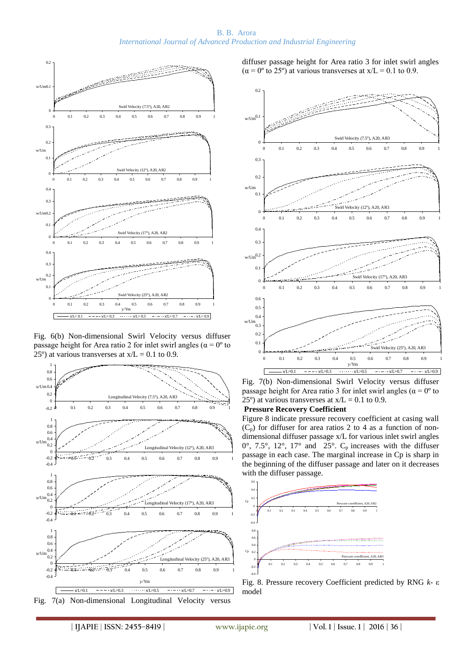#### B. B. Arora *International Journal of Advanced Production and Industrial Engineering*



Fig. 6(b) Non-dimensional Swirl Velocity versus diffuser passage height for Area ratio 2 for inlet swirl angles ( $\alpha = 0^{\circ}$  to 25<sup>o</sup>) at various transverses at  $x/L = 0.1$  to 0.9.



diffuser passage height for Area ratio 3 for inlet swirl angles  $(\alpha = 0^{\circ} \text{ to } 25^{\circ})$  at various transverses at x/L = 0.1 to 0.9.



Fig. 7(b) Non-dimensional Swirl Velocity versus diffuser passage height for Area ratio 3 for inlet swirl angles ( $\alpha = 0^{\circ}$  to  $25^{\circ}$ ) at various transverses at  $x/L = 0.1$  to 0.9.

#### **Pressure Recovery Coefficient**

Figure 8 indicate pressure recovery coefficient at casing wall  $(C_p)$  for diffuser for area ratios 2 to 4 as a function of nondimensional diffuser passage x/L for various inlet swirl angles  $0^\circ$ , 7.5°, 12°, 17° and 25°.  $C_p$  increases with the diffuser passage in each case. The marginal increase in Cp is sharp in the beginning of the diffuser passage and later on it decreases with the diffuser passage.



Fig. 8. Pressure recovery Coefficient predicted by RNG *k-* ε model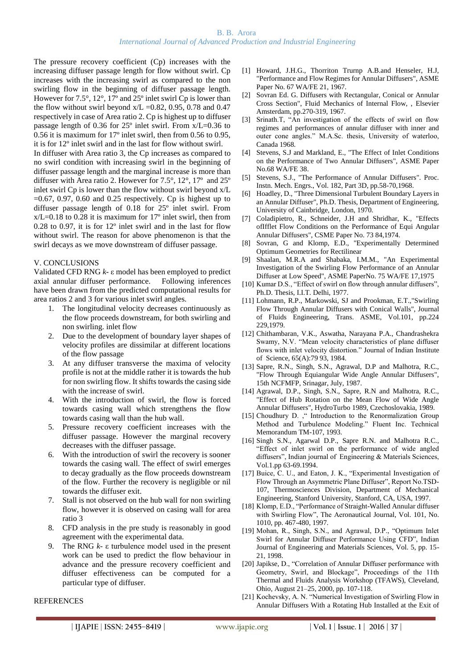The pressure recovery coefficient (Cp) increases with the increasing diffuser passage length for flow without swirl. Cp increases with the increasing swirl as compared to the non swirling flow in the beginning of diffuser passage length. However for 7.5°, 12°, 17º and 25º inlet swirl Cp is lower than the flow without swirl beyond  $x/L = 0.82$ , 0.95, 0.78 and 0.47 respectively in case of Area ratio 2. Cp is highest up to diffuser passage length of 0.36 for 25º inlet swirl. From x/L=0.36 to 0.56 it is maximum for 17º inlet swirl, then from 0.56 to 0.95, it is for 12º inlet swirl and in the last for flow without swirl.

In diffuser with Area ratio 3, the Cp increases as compared to no swirl condition with increasing swirl in the beginning of diffuser passage length and the marginal increase is more than diffuser with Area ratio 2. However for 7.5°, 12°, 17º and 25º inlet swirl Cp is lower than the flow without swirl beyond x/L  $=0.67$ , 0.97, 0.60 and 0.25 respectively. Cp is highest up to diffuser passage length of 0.18 for 25º inlet swirl. From  $x/L=0.18$  to 0.28 it is maximum for 17<sup>o</sup> inlet swirl, then from 0.28 to 0.97, it is for 12º inlet swirl and in the last for flow without swirl. The reason for above phenomenon is that the swirl decays as we move downstream of diffuser passage.

## V. CONCLUSIONS

Validated CFD RNG *k-* ε model has been employed to predict axial annular diffuser performance. Following inferences have been drawn from the predicted computational results for area ratios 2 and 3 for various inlet swirl angles.

- 1. The longitudinal velocity decreases continuously as the flow proceeds downstream, for both swirling and non swirling. inlet flow
- 2. Due to the development of boundary layer shapes of velocity profiles are dissimilar at different locations of the flow passage
- 3. At any diffuser transverse the maxima of velocity profile is not at the middle rather it is towards the hub for non swirling flow. It shifts towards the casing side with the increase of swirl.
- 4. With the introduction of swirl, the flow is forced towards casing wall which strengthens the flow towards casing wall than the hub wall.
- 5. Pressure recovery coefficient increases with the diffuser passage. However the marginal recovery decreases with the diffuser passage.
- 6. With the introduction of swirl the recovery is sooner towards the casing wall. The effect of swirl emerges to decay gradually as the flow proceeds downstream of the flow. Further the recovery is negligible or nil towards the diffuser exit.
- 7. Stall is not observed on the hub wall for non swirling flow, however it is observed on casing wall for area ratio 3
- 8. CFD analysis in the pre study is reasonably in good agreement with the experimental data.
- 9. The RNG *k-* ε turbulence model used in the present work can be used to predict the flow behaviour in advance and the pressure recovery coefficient and diffuser effectiveness can be computed for a particular type of diffuser.
- [1] Howard, J.H.G., Thorriton Trurnp A.B.and Henseler, H.J, "Performance and Flow Regimes for Annular Diffusers", ASME Paper No. 67 WA/FE 21, 1967.
- [2] Sovran Ed. G. Diffusers with Rectangular, Conical or Annular Cross Section", Fluid Mechanics of Internal Flow, , Elsevier Amsterdam, pp.270-319, 1967.
- [3] Srinath.T, "An investigation of the effects of swirl on flow regimes and performances of annular diffuser with inner and outer cone angles." M.A.Sc. thesis, University of waterloo, Canada 1968.
- [4] Stevens, S.J and Markland, E., "The Effect of Inlet Conditions on the Performance of Two Annular Diffusers", ASME Paper No.68 WA/FE 38.
- [5] Stevens, S.J., "The Performance of Annular Diffusers". Proc. Instn. Mech. Engrs., Vol. 182, Part 3D, pp.58-70,1968.
- [6] Hoadley, D., "Three Dimensional Turbulent Boundary Layers in an Annular Diffuser", Ph.D. Thesis, Department of Engineering, University of Cainbridge, London, 1970.
- [7] Coladipietro, R., Schneider, J.H and Shridhar, K., "Effects ofIfflet Flow Conditions on the Performance of Equi Angular Annular Diffusers", CSME Paper No. 73 84,1974.
- [8] Sovran, G and Klomp, E.D., "Experimentally Determined Optimum Geometries for Rectilinear
- [9] Shaalan, M.R.A and Shabaka, I.M.M., "An Experimental Investigation of the Swirling Flow Performance of an Annular Diffuser at Low Speed", ASME PaperNo. 75 WA/FE 17,1975
- [10] Kumar D.S., "Effect of swirl on flow through annular diffusers", Ph.D. Thesis, I.I.T. Delhi, 1977.
- [11] Lohmann, R.P., Markowski, SJ and Prookman, E.T.,"Swirling Flow Through Annular Diffusers with Conical Walls", Journal of Fluids Engineering, Trans. ASME, Vol.101, pp.224 229,1979.
- [12] Chithambaran, V.K., Aswatha, Narayana P.A., Chandrashekra Swamy, N.V. "Mean velocity characteristics of plane diffuser flows with inlet velocity distortion." Journal of Indian Institute of Science, 65(A):79 93, 1984.
- [13] Sapre, R.N., Singh, S.N., Agrawal, D.P and Malhotra, R.C., "Flow Through Equiangular Wide Angle Annular Diffusers", 15th NCFMFP, Srinagar, July, 1987.
- [14] Agrawal, D.P., Singh, S.N., Sapre, R.N and Malhotra, R.C., "Effect of Hub Rotation on the Mean Flow of Wide Angle Annular Diffusers", HydroTurbo 1989, Czechoslovakia, 1989.
- [15] Choudhury D. , "Introduction to the Renormalization Group Method and Turbulence Modeling." Fluent Inc. Technical Memorandum TM-107, 1993.
- [16] Singh S.N., Agarwal D.P., Sapre R.N. and Malhotra R.C., "Effect of inlet swirl on the performance of wide angled diffusers", Indian journal of Engineering & Materials Sciences, Vol.1.pp 63-69.1994.
- [17] Buice, C. U., and Eaton, J. K., "Experimental Investigation of Flow Through an Asymmetric Plane Diffuser", Report No.TSD-107, Thermosciences Division, Department of Mechanical Engineering, Stanford University, Stanford, CA, USA, 1997.
- [18] Klomp, E.D., "Performance of Straight-Walled Annular diffuser with Swirling Flow", The Aeronautical Journal, Vol. 101, No. 1010, pp. 467-480, 1997.
- [19] Mohan, R., Singh, S.N., and Agrawal, D.P., "Optimum Inlet Swirl for Annular Diffuser Performance Using CFD", Indian Journal of Engineering and Materials Sciences, Vol. 5, pp. 15- 21, 1998.
- [20] Japikse, D., "Correlation of Annular Diffuser performance with Geometry, Swirl, and Blockage", Proceedings of the 11th Thermal and Fluids Analysis Workshop (TFAWS), Cleveland, Ohio, August 21–25, 2000, pp. 107-118.
- [21] Kochevsky, A. N. "Numerical Investigation of Swirling Flow in Annular Diffusers With a Rotating Hub Installed at the Exit of

## **REFERENCES**